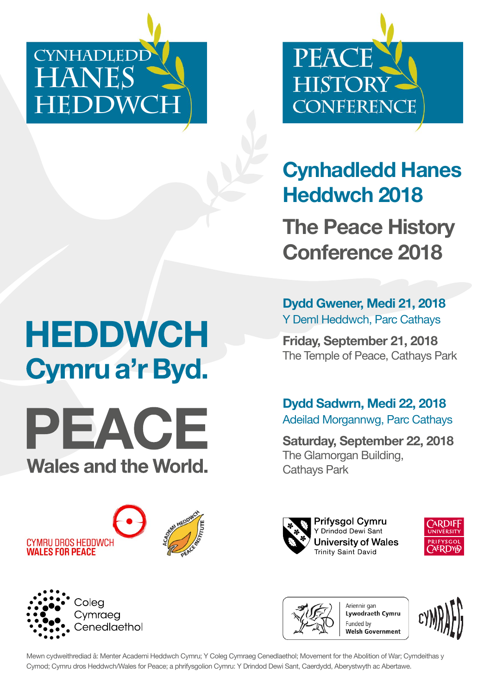**CYNHADLEDD HANES HEDDWCH**



**Cynhadledd Hanes Heddwch 2018**

**The Peace History Conference 2018**

**Dydd Gwener, Medi 21, 2018**  Y Deml Heddwch, Parc Cathays

**Friday, September 21, 2018**  The Temple of Peace, Cathays Park

**Dydd Sadwrn, Medi 22, 2018** Adeilad Morgannwg, Parc Cathays

**Saturday, September 22, 2018**  The Glamorgan Building, Cathays Park







**Lywodraeth Cymru** welsh Government



# **HEDDWCH** Cymru a'r Byd.



CYMRU DROS HEDDWCH **WALES FOR PEACE** 





Mewn cydweithrediad â: Menter Academi Heddwch Cymru; Y Coleg Cymraeg Cenedlaethol; Movement for the Abolition of War; Cymdeithas y Cymod; Cymru dros Heddwch/Wales for Peace; a phrifysgolion Cymru: Y Drindod Dewi Sant, Caerdydd, Aberystwyth ac Abertawe.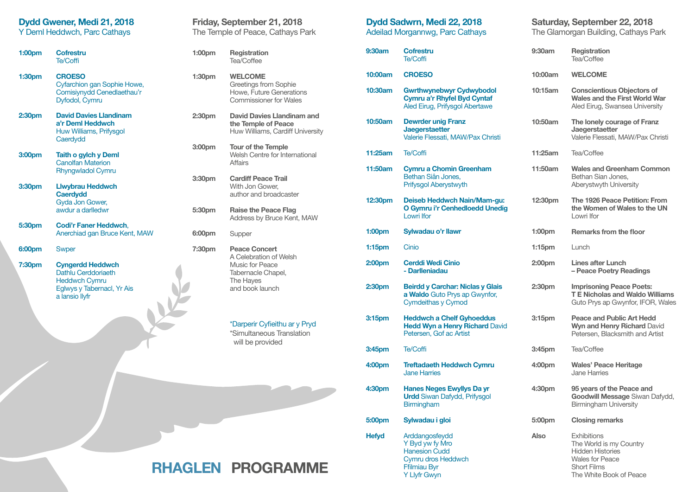### **Dydd Gwener, Medi 21, 2018**

Y Deml Heddwch, Parc Cathays

| 1:00 <sub>pm</sub> | Cofrestru<br>Te/Coffi                                                                        |
|--------------------|----------------------------------------------------------------------------------------------|
| 1:30pm             | <b>CROESO</b><br>Cyfarchion gan Sophie Howe,<br>Comisiynydd Cenedlaethau'r<br>Dyfodol, Cymru |
| 2:30pm             | <b>David Davies Llandinam</b><br>a'r Deml Heddwch<br>Huw Williams, Prifysgol<br>Caerdydd     |
| 3:00 <sub>pm</sub> | Taith o gylch y Deml<br><b>Canolfan Materion</b><br><b>Rhyngwladol Cymru</b>                 |
| 3:30 <sub>pm</sub> | Llwybrau Heddwch<br><b>Caerdydd</b><br>Gyda Jon Gower,<br>awdur a darlledwr                  |
| 5:30pm             | Codi'r Faner Heddwch.<br>Anerchiad gan Bruce Kent, MAW                                       |
| 6:00pm             | <b>Swper</b>                                                                                 |
|                    |                                                                                              |

**7:30pm Cyngerdd Heddwch** Dathlu Cerddoriaeth Heddwch Cymru Eglwys y Tabernacl, Yr Ais a lansio llyfr

| Friday, September 21, 2018<br>The Temple of Peace, Cathays Park |                                                                                                                         |
|-----------------------------------------------------------------|-------------------------------------------------------------------------------------------------------------------------|
| 1:00 <sub>pm</sub>                                              | Registration<br>Tea/Coffee                                                                                              |
| 1:30 <sub>pm</sub>                                              | <b>WELCOME</b><br><b>Greetings from Sophie</b><br><b>Howe, Future Generations</b><br><b>Commissioner for Wales</b>      |
| 2:30pm                                                          | David Davies Llandinam and<br>the Temple of Peace<br>Huw Williams, Cardiff University                                   |
| 3:00pm                                                          | <b>Tour of the Temple</b><br>Welsh Centre for International<br>Affairs                                                  |
| 3:30pm                                                          | <b>Cardiff Peace Trail</b><br>With Jon Gower,<br>author and broadcaster                                                 |
| 5:30pm                                                          | Raise the Peace Flag<br>Address by Bruce Kent, MAW                                                                      |
| 6:00pm                                                          | Supper                                                                                                                  |
| 7:30pm                                                          | <b>Peace Concert</b><br>A Celebration of Welsh<br>Music for Peace<br>Tabernacle Chapel,<br>The Hayes<br>and book launch |

\*Darperir Cyfeithu ar y Pryd \*Simultaneous Translation will be provided

#### **Dydd Sadwrn, Medi 22, 2018**  Adeilad Morgannwg, Parc Cathays

| 9:30am             | <b>Cofrestru</b><br>Te/Coffi                                                                         |
|--------------------|------------------------------------------------------------------------------------------------------|
| 10:00am            | <b>CROESO</b>                                                                                        |
| 10:30am            | <b>Gwrthwynebwyr Cydwybodol</b><br>Cymru a'r Rhyfel Byd Cyntaf<br>Aled Eirug, Prifysgol Abertawe     |
| 10:50am            | <b>Dewrder unig Franz</b><br><b>Jaegerstaetter</b><br>Valerie Flessati, MAW/Pax Christi              |
| 11:25am            | Te/Coffi                                                                                             |
| 11:50am            | <b>Cymru a Chomin Greenham</b><br>Bethan Siân Jones.<br>Prifysgol Aberystwyth                        |
| 12:30pm            | Deiseb Heddwch Nain/Mam-gu:<br>O Gymru i'r Cenhedloedd Unedig<br>Lowri Ifor                          |
| 1:00 <sub>pm</sub> | Sylwadau o'r llawr                                                                                   |
| 1:15 <sub>pm</sub> | Cinio                                                                                                |
| 2:00 <sub>pm</sub> | <b>Cerddi Wedi Cinio</b><br>- Darlleniadau                                                           |
| 2:30 <sub>pm</sub> | <b>Beirdd y Carchar: Niclas y Glais</b><br>a Waldo Guto Prys ap Gwynfor,<br>Cymdeithas y Cymod       |
| 3:15 <sub>pm</sub> | <b>Heddwch a Chelf Gyhoeddus</b><br><b>Hedd Wyn a Henry Richard David</b><br>Petersen. Gof ac Artist |
| 3:45pm             | Te/Coffi                                                                                             |
| 4:00pm             | <b>Treftadaeth Heddwch Cymru</b><br><b>Jane Harries</b>                                              |
| 4:30pm             | <b>Hanes Neges Ewyllys Da yr</b><br><b>Urdd</b> Siwan Dafydd, Prifysgol<br><b>Birmingham</b>         |
| 5:00pm             | Sylwadau i gloi                                                                                      |
| <b>Hefyd</b>       | Arddangosfeydd<br>Y Byd yw fy Mro<br><b>Hanesion Cudd</b><br>Cymru dros Heddwch                      |

Fflmiau Byr Y Llyfr Gwyn

### **Saturday, September 22, 2018**

The Glamorgan Building, Cathays Park

| 9:30am             | Registration<br>Tea/Coffee                                                                                                                          |
|--------------------|-----------------------------------------------------------------------------------------------------------------------------------------------------|
| 10:00am            | <b>WELCOME</b>                                                                                                                                      |
| 10:15am            | <b>Conscientious Objectors of</b><br><b>Wales and the First World War</b><br>Aled Eirug, Swansea University                                         |
| 10:50am            | The lonely courage of Franz<br>Jaegerstaetter<br>Valerie Flessati, MAW/Pax Christi                                                                  |
| 11:25am            | Tea/Coffee                                                                                                                                          |
| 11:50am            | <b>Wales and Greenham Common</b><br>Bethan Sian Jones,<br>Aberystwyth University                                                                    |
| 12:30pm            | The 1926 Peace Petition: From<br>the Women of Wales to the UN<br>Lowri Ifor                                                                         |
| 1:00 <sub>pm</sub> | Remarks from the floor                                                                                                                              |
| 1:15pm             | Lunch                                                                                                                                               |
| 2:00pm             | <b>Lines after Lunch</b><br>- Peace Poetry Readings                                                                                                 |
| 2:30pm             | <b>Imprisoning Peace Poets:</b><br><b>T E Nicholas and Waldo Williams</b><br>Guto Prys ap Gwynfor, IFOR, Wales                                      |
| 3:15 <sub>pm</sub> | Peace and Public Art Hedd<br>Wyn and Henry Richard David<br>Petersen, Blacksmith and Artist                                                         |
| 3:45pm             | Tea/Coffee                                                                                                                                          |
| 4:00pm             | <b>Wales' Peace Heritage</b><br>Jane Harries                                                                                                        |
| 4:30pm             | 95 years of the Peace and<br>Goodwill Message Siwan Dafydd,<br><b>Birmingham University</b>                                                         |
| 5:00pm             | <b>Closing remarks</b>                                                                                                                              |
| Also               | <b>Exhibitions</b><br>The World is my Country<br><b>Hidden Histories</b><br><b>Wales for Peace</b><br><b>Short Films</b><br>The White Book of Peace |

# **RHAGLEN PROGRAMME**